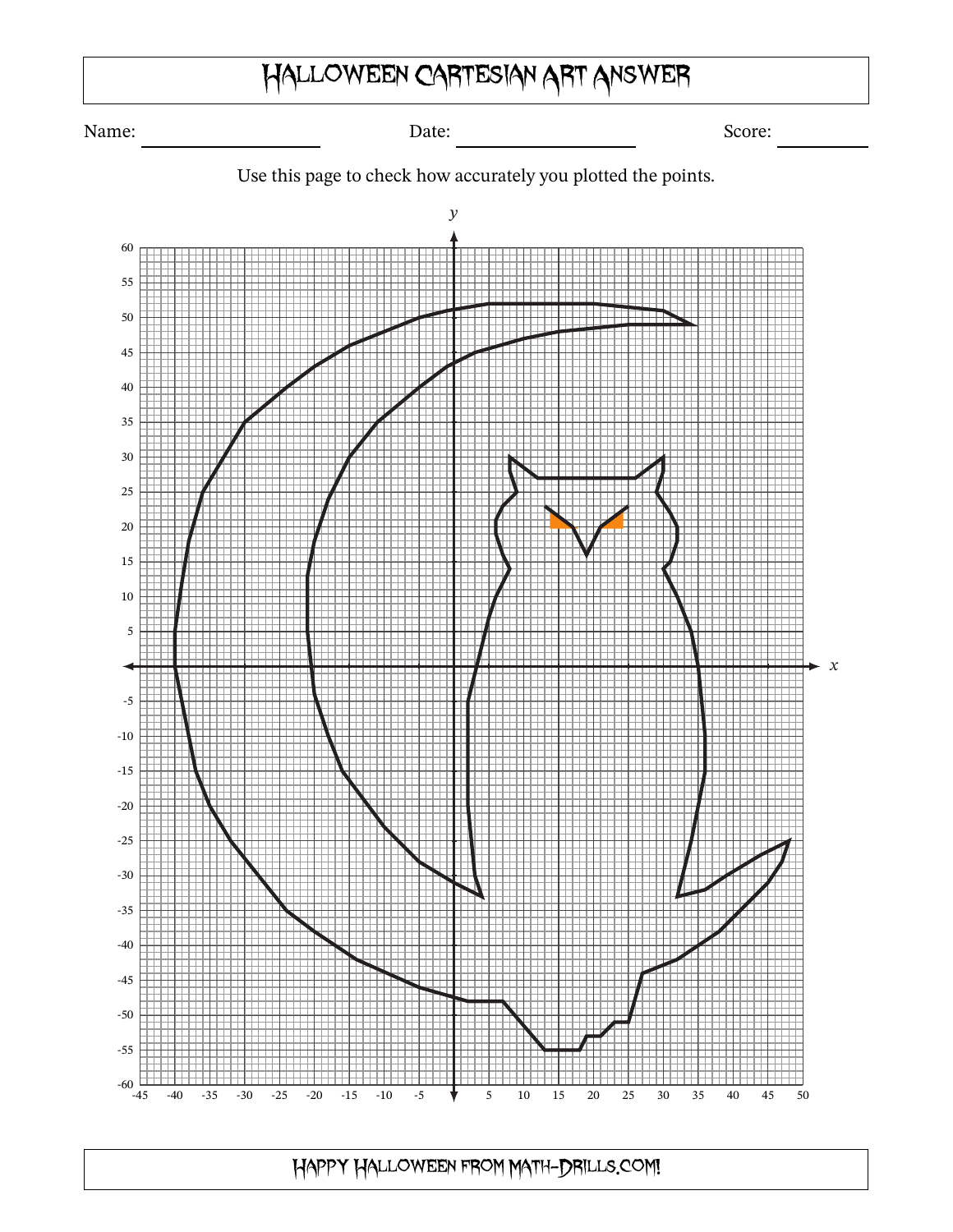## Halloween Cartesian Art Answer

Name: Score: Date: Date: Score: Score: Score: Score: Score: Score: Score: Score: Score: Score: Score: Score: Score: Score: Score: Score: Score: Score: Score: Score: Score: Score: Score: Score: Score: Score: Score: Score: S



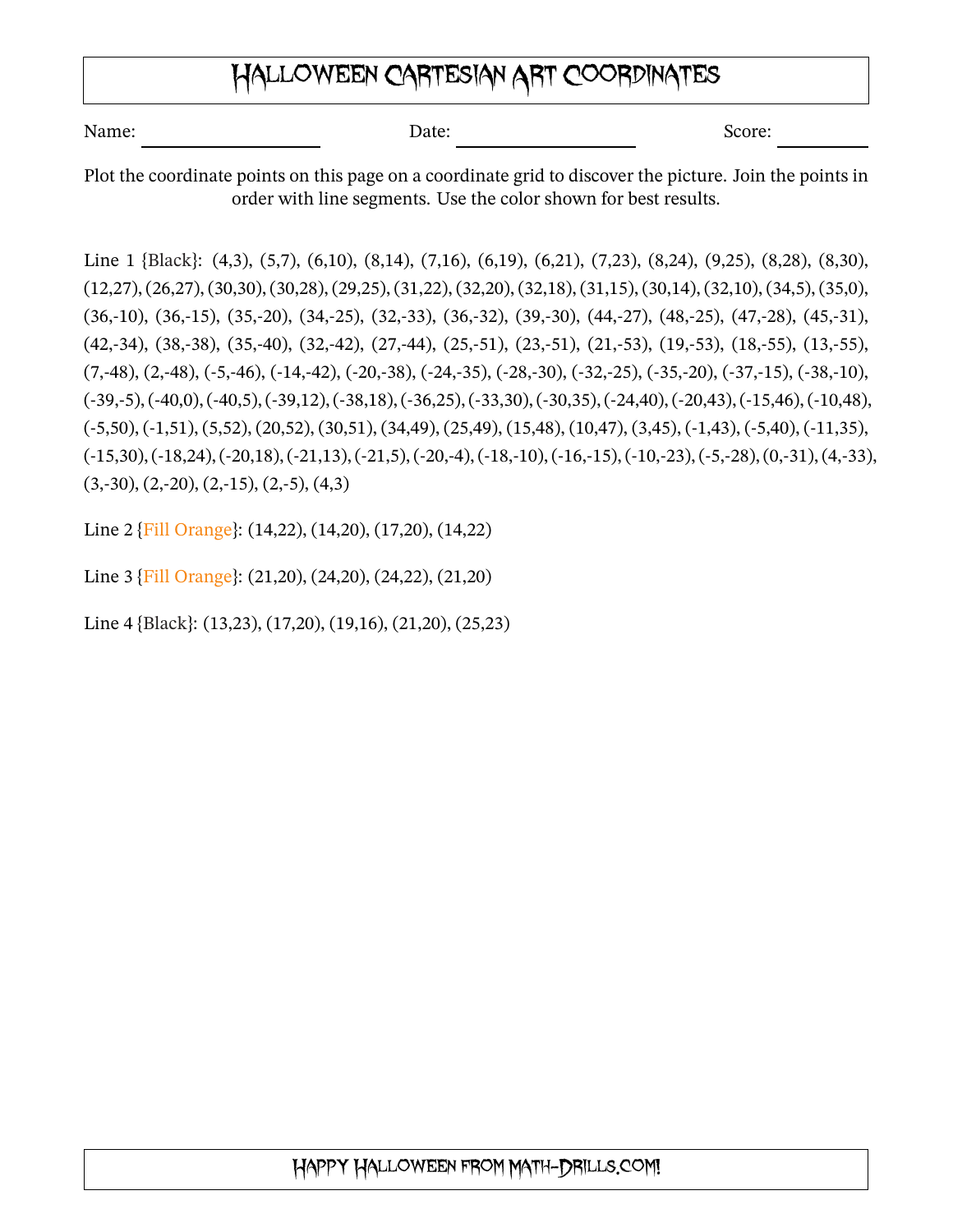## Halloween Cartesian Art Coordinates

| Name: | Date: | Score: |
|-------|-------|--------|
|       |       |        |

Plot the coordinate points on this page on a coordinate grid to discover the picture. Join the points in order with line segments. Use the color shown for best results.

Line 1 {Black}: (4,3), (5,7), (6,10), (8,14), (7,16), (6,19), (6,21), (7,23), (8,24), (9,25), (8,28), (8,30), (12,27), (26,27), (30,30), (30,28), (29,25), (31,22), (32,20), (32,18), (31,15), (30,14), (32,10), (34,5), (35,0), (36,-10), (36,-15), (35,-20), (34,-25), (32,-33), (36,-32), (39,-30), (44,-27), (48,-25), (47,-28), (45,-31), (42,-34), (38,-38), (35,-40), (32,-42), (27,-44), (25,-51), (23,-51), (21,-53), (19,-53), (18,-55), (13,-55),  $(7,48)$ ,  $(2,48)$ ,  $(-5,46)$ ,  $(-14,42)$ ,  $(-20,38)$ ,  $(-24,35)$ ,  $(-28,30)$ ,  $(-32,25)$ ,  $(-35,20)$ ,  $(-37,15)$ ,  $(-38,10)$ ,  $(-39,-5)$ ,  $(-40,0)$ ,  $(-40,5)$ ,  $(-39,12)$ ,  $(-38,18)$ ,  $(-36,25)$ ,  $(-33,30)$ ,  $(-30,35)$ ,  $(-24,40)$ ,  $(-20,43)$ ,  $(-15,46)$ ,  $(-10,48)$ , (-5,50), (-1,51), (5,52), (20,52), (30,51), (34,49), (25,49), (15,48), (10,47), (3,45), (-1,43), (-5,40), (-11,35),  $(-15,30), (-18,24), (-20,18), (-21,13), (-21,5), (-20,4), (-18,10), (-16,15), (-10,23), (-5,28), (0,31), (4,33),$  $(3, -30), (2, -20), (2, -15), (2, -5), (4, 3)$ 

Line 2 {Fill Orange}: (14,22), (14,20), (17,20), (14,22)

Line 3 {Fill Orange}: (21,20), (24,20), (24,22), (21,20)

Line 4 {Black}: (13,23), (17,20), (19,16), (21,20), (25,23)